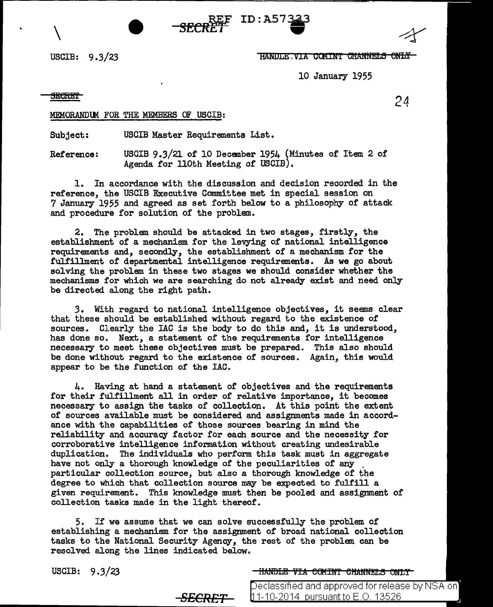## USCIB:  $9.3/23$  HANDLE . VIA COMINT GHANNELS ONLY

10 January 1955

**SEGRET** 24

 $\setminus$ 

MEMORANDUM FOR THE MEMBERS OF USCIB:

Subject: USCIB Master Requirements List.

Reference: USCIB 9.3/21 of 10 December 1954 (Minutes of Item 2 of Agenda for llOth Meeting of USCIB).

 $ID: A57$ 

1. In accordance with the discussion and decision recorded in the reference, the USCIB Executive Committee met in special session on 7 January 1955 and agreed as set forth below to a philosophy of attack and procedure for solution of the problem.

2. The problem should be attacked in two stages, firstly, the establishment of a mechanism for the levying of national intelligence requirements and, secondly, the establishment of a mechanism for the fulfillment of departmental intelligence requirements. As we go about solving the problem in these two stages we should consider whether the mechanisms for which we are searching do not already exist and need only be directed along the right path.

*3.* With regard to national intelligence objectives, it seems clear that these should be established without regard to the existence of sources. Clearly the IAC is the body to do this and, it is understood, has done so. Next, a statement of the requirements for intelligence necessary to meet these objectives must be prepared. This also should be done without regard to the existence of sources. Again, this would appear to be the function of the IAC.

4. Having at hand a statement of objectives and the requirements for their fulfillment all in order of relative importance, it becomes necessary to assign the tasks of collection. At this point the extent of sources available must be considered and assignments made in accordance with the capabilities of those sources bearing in mind the reliability and accuracy factor for each source and the necessity for corroborative intelligence information without creating undesirable duplication. The individuals who perform this task must in aggregate have not only a thorough knowledge *of* the peculiarities of any . particular collection source, but also a thorough knowledge of the degree to which that collection source may be expected to fulfill a given requirement. This knowledge must then be pooled and assignment of collection tasks made in the light thereof.

*5.* If we assume that we can solve successfully the problem of establishing a mechanism for the assignment of broad national collection tasks to the National Security Agency, the rest of the problem can be resolved along the lines indicated below.

USCIB: 9.3/23 THANDLE VIA COMINT CHANNELS ONLY

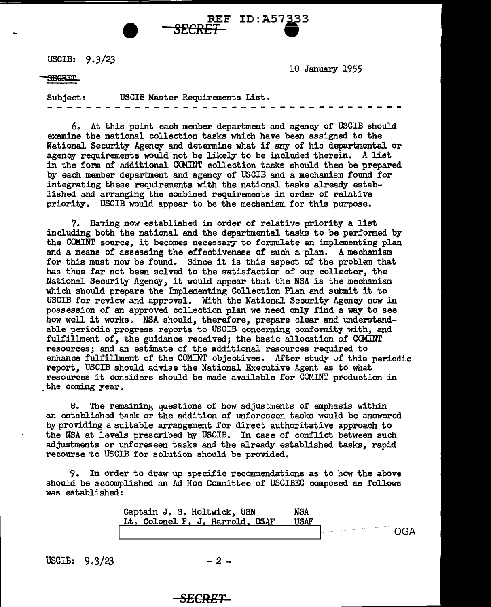USCIB: 9.3/23

10 January 1955

**SEGRIT** 

Subject: USCIB Master Requirements List.

REF ID:A57333

6. At this point each member department and agency or USCIB should examine the national collection tasks which have been assigned to the National Security Agency and determine what if any of his departmental or agency requirements would not be likely to be included therein. A list in the form of additional COMINT collection tasks should then be prepared by each member department and agency of USCIB and a mechanism found for integrating these requirements with the national tasks already established and arranging the combined requirements in order of relative priority. USCIB would appear to be the mechanism for this purpose.

7. Having now established in order or relative priority a list including both the national and the departmental tasks to be performed by the COMINT source, it becomes necessary to formulate an implementing plan and a means of assessing the effectiveness of such a plan. A mechanism for this must now be found. Since it is this aspect of the problem that has thus far not been solved to the satisfaction of our collector, the National Security Agency, it would appear that the NSA is the mechanism which should prepare the Implementing Collection Plan and submit it to USCIB for review and approval. With the National Security Agency now in possession of an approved collection plan we need only find a way to see how well it works. NSA should, therefore, prepare clear and understandable periodic progress reports to USCIB concerning conformity with, and fulfillment of, the guidance received; the basic allocation of COMINT resources; and an estimate of the additional resources required to enhance fulfillment of the COMINT objectives. After study of this periodic report, USCIB should advise the National Executive Agent as to what resources it considers should be made available for COMINT production in the coming year.

8. The remaining questions of how adjustments of emphasis within an established task or the addition of unforeseen tasks would be answered by providing a suitable arrangement for direct authoritative approach to the NSA at levels prescribed by USCIB. In case of conflict between such adjustments or unforeseen tasks and the already established tasks, rapid recourse to USCIB for solution should be provided.

9. In order to draw up specific recommendations as to how the above should be accomplished an Ad Hoc Committee of USCIBEC composed. as follows was established:

Captain J. S. Holtwick, USN Lt. Colonel F. J. Harrold. USAF NSA USAF OGA

USCIB:  $9.3/23$  - 2 -

## *SECRET*